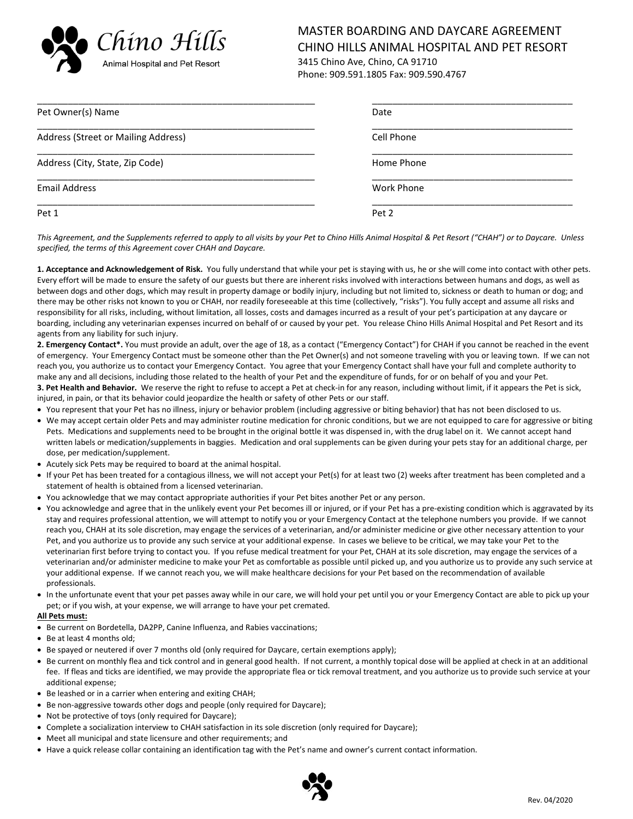

## MASTER BOARDING AND DAYCARE AGREEMENT  $Chino$   $Hills$  chino hills animal hospital and pet resort

Phone: 909.591.1805 Fax: 909.590.4767

| Pet Owner(s) Name                   | Date       |
|-------------------------------------|------------|
| Address (Street or Mailing Address) | Cell Phone |
| Address (City, State, Zip Code)     | Home Phone |
| <b>Email Address</b>                | Work Phone |
| Pet 1                               | Pet 2      |

*This Agreement, and the Supplements referred to apply to all visits by your Pet to Chino Hills Animal Hospital & Pet Resort ("CHAH") or to Daycare. Unless specified, the terms of this Agreement cover CHAH and Daycare.*

**1. Acceptance and Acknowledgement of Risk.** You fully understand that while your pet is staying with us, he or she will come into contact with other pets. Every effort will be made to ensure the safety of our guests but there are inherent risks involved with interactions between humans and dogs, as well as between dogs and other dogs, which may result in property damage or bodily injury, including but not limited to, sickness or death to human or dog; and there may be other risks not known to you or CHAH, nor readily foreseeable at this time (collectively, "risks"). You fully accept and assume all risks and responsibility for all risks, including, without limitation, all losses, costs and damages incurred as a result of your pet's participation at any daycare or boarding, including any veterinarian expenses incurred on behalf of or caused by your pet. You release Chino Hills Animal Hospital and Pet Resort and its agents from any liability for such injury.

**2. Emergency Contact\*.** You must provide an adult, over the age of 18, as a contact ("Emergency Contact") for CHAH if you cannot be reached in the event of emergency. Your Emergency Contact must be someone other than the Pet Owner(s) and not someone traveling with you or leaving town. If we can not reach you, you authorize us to contact your Emergency Contact. You agree that your Emergency Contact shall have your full and complete authority to make any and all decisions, including those related to the health of your Pet and the expenditure of funds, for or on behalf of you and your Pet. **3. Pet Health and Behavior.** We reserve the right to refuse to accept a Pet at check-in for any reason, including without limit, if it appears the Pet is sick, injured, in pain, or that its behavior could jeopardize the health or safety of other Pets or our staff.

- You represent that your Pet has no illness, injury or behavior problem (including aggressive or biting behavior) that has not been disclosed to us.
- We may accept certain older Pets and may administer routine medication for chronic conditions, but we are not equipped to care for aggressive or biting Pets. Medications and supplements need to be brought in the original bottle it was dispensed in, with the drug label on it. We cannot accept hand written labels or medication/supplements in baggies. Medication and oral supplements can be given during your pets stay for an additional charge, per dose, per medication/supplement.
- Acutely sick Pets may be required to board at the animal hospital.
- If your Pet has been treated for a contagious illness, we will not accept your Pet(s) for at least two (2) weeks after treatment has been completed and a statement of health is obtained from a licensed veterinarian.
- You acknowledge that we may contact appropriate authorities if your Pet bites another Pet or any person.
- You acknowledge and agree that in the unlikely event your Pet becomes ill or injured, or if your Pet has a pre-existing condition which is aggravated by its stay and requires professional attention, we will attempt to notify you or your Emergency Contact at the telephone numbers you provide. If we cannot reach you, CHAH at its sole discretion, may engage the services of a veterinarian, and/or administer medicine or give other necessary attention to your Pet, and you authorize us to provide any such service at your additional expense. In cases we believe to be critical, we may take your Pet to the veterinarian first before trying to contact you. If you refuse medical treatment for your Pet, CHAH at its sole discretion, may engage the services of a veterinarian and/or administer medicine to make your Pet as comfortable as possible until picked up, and you authorize us to provide any such service at your additional expense. If we cannot reach you, we will make healthcare decisions for your Pet based on the recommendation of available professionals.
- In the unfortunate event that your pet passes away while in our care, we will hold your pet until you or your Emergency Contact are able to pick up your pet; or if you wish, at your expense, we will arrange to have your pet cremated.

## **All Pets must:**

- Be current on Bordetella, DA2PP, Canine Influenza, and Rabies vaccinations;
- Be at least 4 months old;
- Be spayed or neutered if over 7 months old (only required for Daycare, certain exemptions apply);
- Be current on monthly flea and tick control and in general good health. If not current, a monthly topical dose will be applied at check in at an additional fee. If fleas and ticks are identified, we may provide the appropriate flea or tick removal treatment, and you authorize us to provide such service at your additional expense;
- Be leashed or in a carrier when entering and exiting CHAH;
- Be non-aggressive towards other dogs and people (only required for Daycare);
- Not be protective of toys (only required for Daycare);
- Complete a socialization interview to CHAH satisfaction in its sole discretion (only required for Daycare);
- Meet all municipal and state licensure and other requirements; and
- Have a quick release collar containing an identification tag with the Pet's name and owner's current contact information.